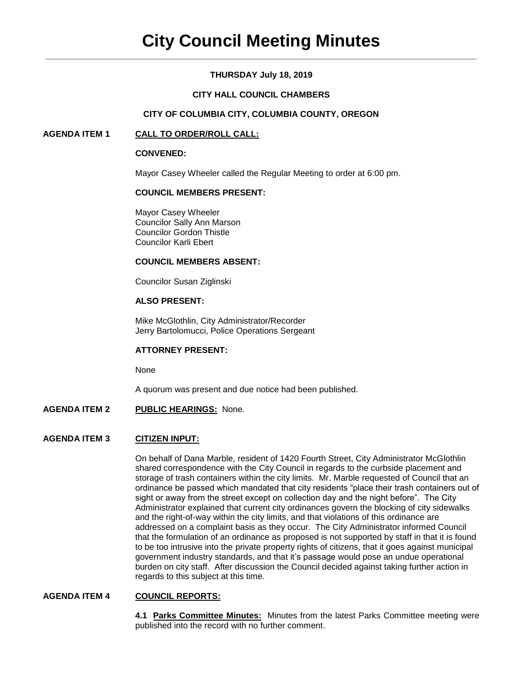# **THURSDAY July 18, 2019**

# **CITY HALL COUNCIL CHAMBERS**

# **CITY OF COLUMBIA CITY, COLUMBIA COUNTY, OREGON**

# **AGENDA ITEM 1 CALL TO ORDER/ROLL CALL:**

### **CONVENED:**

Mayor Casey Wheeler called the Regular Meeting to order at 6:00 pm.

### **COUNCIL MEMBERS PRESENT:**

Mayor Casey Wheeler Councilor Sally Ann Marson Councilor Gordon Thistle Councilor Karli Ebert

### **COUNCIL MEMBERS ABSENT:**

Councilor Susan Ziglinski

# **ALSO PRESENT:**

Mike McGlothlin, City Administrator/Recorder Jerry Bartolomucci, Police Operations Sergeant

# **ATTORNEY PRESENT:**

None

A quorum was present and due notice had been published.

# **AGENDA ITEM 2 PUBLIC HEARINGS:** None.

# **AGENDA ITEM 3 CITIZEN INPUT:**

On behalf of Dana Marble, resident of 1420 Fourth Street, City Administrator McGlothlin shared correspondence with the City Council in regards to the curbside placement and storage of trash containers within the city limits. Mr. Marble requested of Council that an ordinance be passed which mandated that city residents "place their trash containers out of sight or away from the street except on collection day and the night before". The City Administrator explained that current city ordinances govern the blocking of city sidewalks and the right-of-way within the city limits, and that violations of this ordinance are addressed on a complaint basis as they occur. The City Administrator informed Council that the formulation of an ordinance as proposed is not supported by staff in that it is found to be too intrusive into the private property rights of citizens, that it goes against municipal government industry standards, and that it's passage would pose an undue operational burden on city staff. After discussion the Council decided against taking further action in regards to this subject at this time.

# **AGENDA ITEM 4 COUNCIL REPORTS:**

**4.1 Parks Committee Minutes:** Minutes from the latest Parks Committee meeting were published into the record with no further comment.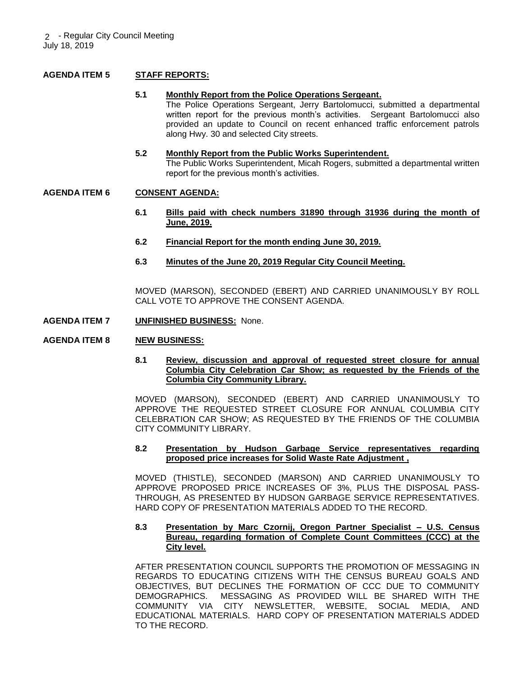# **AGENDA ITEM 5 STAFF REPORTS:**

#### **5.1 Monthly Report from the Police Operations Sergeant.**

The Police Operations Sergeant, Jerry Bartolomucci, submitted a departmental written report for the previous month's activities. Sergeant Bartolomucci also provided an update to Council on recent enhanced traffic enforcement patrols along Hwy. 30 and selected City streets.

#### **5.2 Monthly Report from the Public Works Superintendent.** The Public Works Superintendent, Micah Rogers, submitted a departmental written report for the previous month's activities.

# **AGENDA ITEM 6 CONSENT AGENDA:**

- **6.1 Bills paid with check numbers 31890 through 31936 during the month of June, 2019.**
- **6.2 Financial Report for the month ending June 30, 2019.**
- **6.3 Minutes of the June 20, 2019 Regular City Council Meeting.**

MOVED (MARSON), SECONDED (EBERT) AND CARRIED UNANIMOUSLY BY ROLL CALL VOTE TO APPROVE THE CONSENT AGENDA.

- **AGENDA ITEM 7 UNFINISHED BUSINESS:** None.
- **AGENDA ITEM 8 NEW BUSINESS:**
	- **8.1 Review, discussion and approval of requested street closure for annual Columbia City Celebration Car Show; as requested by the Friends of the Columbia City Community Library.**

MOVED (MARSON), SECONDED (EBERT) AND CARRIED UNANIMOUSLY TO APPROVE THE REQUESTED STREET CLOSURE FOR ANNUAL COLUMBIA CITY CELEBRATION CAR SHOW; AS REQUESTED BY THE FRIENDS OF THE COLUMBIA CITY COMMUNITY LIBRARY.

#### **8.2 Presentation by Hudson Garbage Service representatives regarding proposed price increases for Solid Waste Rate Adjustment ,**

MOVED (THISTLE), SECONDED (MARSON) AND CARRIED UNANIMOUSLY TO APPROVE PROPOSED PRICE INCREASES OF 3%, PLUS THE DISPOSAL PASS-THROUGH, AS PRESENTED BY HUDSON GARBAGE SERVICE REPRESENTATIVES. HARD COPY OF PRESENTATION MATERIALS ADDED TO THE RECORD.

#### **8.3 Presentation by Marc Czornij, Oregon Partner Specialist – U.S. Census Bureau, regarding formation of Complete Count Committees (CCC) at the City level.**

AFTER PRESENTATION COUNCIL SUPPORTS THE PROMOTION OF MESSAGING IN REGARDS TO EDUCATING CITIZENS WITH THE CENSUS BUREAU GOALS AND OBJECTIVES, BUT DECLINES THE FORMATION OF CCC DUE TO COMMUNITY DEMOGRAPHICS. MESSAGING AS PROVIDED WILL BE SHARED WITH THE COMMUNITY VIA CITY NEWSLETTER, WEBSITE, SOCIAL MEDIA, AND EDUCATIONAL MATERIALS. HARD COPY OF PRESENTATION MATERIALS ADDED TO THE RECORD.